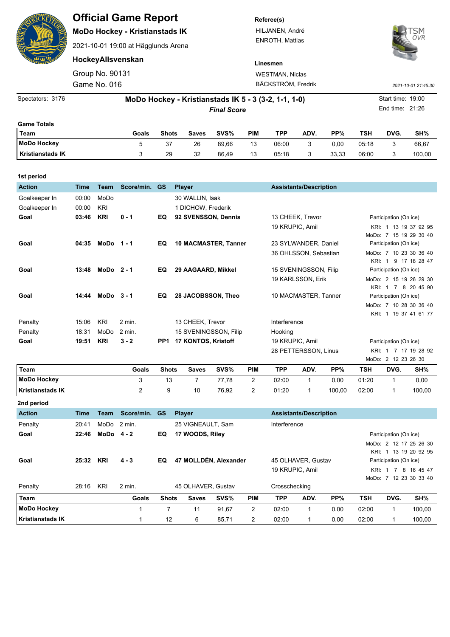|                         |             |                 | <b>Official Game Report</b><br><b>MoDo Hockey - Kristianstads IK</b><br>2021-10-01 19:00 at Hägglunds Arena |              |                                                      |       |                 | Referee(s)<br>HILJANEN, André<br><b>ENROTH, Mattias</b> |                               | OVR   |                     |                   |        |
|-------------------------|-------------|-----------------|-------------------------------------------------------------------------------------------------------------|--------------|------------------------------------------------------|-------|-----------------|---------------------------------------------------------|-------------------------------|-------|---------------------|-------------------|--------|
|                         |             |                 | HockeyAllsvenskan                                                                                           |              |                                                      |       |                 | Linesmen                                                |                               |       |                     |                   |        |
|                         |             | Group No. 90131 |                                                                                                             |              |                                                      |       |                 | <b>WESTMAN, Niclas</b>                                  |                               |       |                     |                   |        |
|                         |             | Game No. 016    |                                                                                                             |              |                                                      |       |                 | BÄCKSTRÖM, Fredrik                                      |                               |       | 2021-10-01 21:45:30 |                   |        |
| Spectators: 3176        |             |                 |                                                                                                             |              | MoDo Hockey - Kristianstads IK 5 - 3 (3-2, 1-1, 1-0) |       |                 |                                                         |                               |       |                     | Start time: 19:00 |        |
|                         |             |                 |                                                                                                             |              | <b>Final Score</b>                                   |       | End time: 21:26 |                                                         |                               |       |                     |                   |        |
| <b>Game Totals</b>      |             |                 |                                                                                                             |              |                                                      |       |                 |                                                         |                               |       |                     |                   |        |
| <b>Team</b>             |             |                 | Goals                                                                                                       | <b>Shots</b> | <b>Saves</b>                                         | SVS%  | <b>PIM</b>      | <b>TPP</b>                                              | ADV.                          | PP%   | <b>TSH</b>          | DVG.              | SH%    |
| <b>MoDo Hockey</b>      |             |                 | 5                                                                                                           | 37           | 26                                                   | 89,66 | 13              | 06:00                                                   | 3                             | 0,00  | 05:18               | 3                 | 66,67  |
| <b>Kristianstads IK</b> |             |                 | 3                                                                                                           | 29           | 32                                                   | 86,49 | 13              | 05:18                                                   | 3                             | 33,33 | 06:00               | 3                 | 100,00 |
| 1st period              |             |                 |                                                                                                             |              |                                                      |       |                 |                                                         |                               |       |                     |                   |        |
| <b>Action</b>           | <b>Time</b> | Team            | Score/min.                                                                                                  | <b>GS</b>    | <b>Player</b>                                        |       |                 |                                                         | <b>Assistants/Description</b> |       |                     |                   |        |
| Goalkeeper In           | 00:00       | MoDo            |                                                                                                             |              | 30 WALLIN, Isak                                      |       |                 |                                                         |                               |       |                     |                   |        |

| Goal    | KRI<br>03:46        | $0 - 1$      | EQ  | 92 SVENSSON, Dennis         | 13 CHEEK, Trevor      | Participation (On ice) |
|---------|---------------------|--------------|-----|-----------------------------|-----------------------|------------------------|
|         |                     |              |     |                             | 19 KRUPIC, Amil       | KRI: 1 13 19 37 92 95  |
|         |                     |              |     |                             |                       | MoDo: 7 15 19 29 30 40 |
| Goal    | 04:35               | $MODo$ 1 - 1 | EQ  | <b>10 MACMASTER, Tanner</b> | 23 SYLWANDER, Daniel  | Participation (On ice) |
|         |                     |              |     |                             | 36 OHLSSON, Sebastian | MoDo: 7 10 23 30 36 40 |
|         |                     |              |     |                             |                       | KRI: 1 9 17 18 28 47   |
| Goal    | 13:48               | $MODo$ 2 - 1 | EQ  | 29 AAGAARD, Mikkel          | 15 SVENINGSSON, Filip | Participation (On ice) |
|         |                     |              |     |                             | 19 KARLSSON, Erik     | MoDo: 2 15 19 26 29 30 |
|         |                     |              |     |                             |                       | KRI: 1 7 8 20 45 90    |
| Goal    | 14:44               | $MODo3-1$    | EQ. | 28 JACOBSSON, Theo          | 10 MACMASTER, Tanner  | Participation (On ice) |
|         |                     |              |     |                             |                       | MoDo: 7 10 28 30 36 40 |
|         |                     |              |     |                             |                       | KRI: 1 19 37 41 61 77  |
| Penalty | KRI<br>15:06        | $2$ min.     |     | 13 CHEEK, Trevor            | Interference          |                        |
| Penalty | 18:31<br>MoDo       | 2 min.       |     | 15 SVENINGSSON, Filip       | Hooking               |                        |
| Goal    | <b>KRI</b><br>19:51 | $3 - 2$      | PP1 | 17 KONTOS, Kristoff         | 19 KRUPIC, Amil       | Participation (On ice) |
|         |                     |              |     |                             | 28 PETTERSSON, Linus  | KRI: 1 7 17 19 28 92   |
|         |                     |              |     |                             |                       | MoDo: 2 12 23 26 30    |

Goalkeeper In 00:00 KRI 1 DICHOW, Frederik

| Team             | Goals | <b>Shots</b> | <b>Saves</b> | SVS%  | <b>PIM</b> | TPP   | ADV. | PP%    | TSH   | DVG. | SH%    |
|------------------|-------|--------------|--------------|-------|------------|-------|------|--------|-------|------|--------|
| MoDo Hockey      |       | 13           |              | 77.78 |            | 02:00 |      | 0.00   | 01:20 |      | 0,00   |
| Kristianstads IK |       |              | 10           | 76.92 | ົ          | 01:20 |      | 100.00 | 02:00 |      | 100,00 |
| 2nd period       |       |              |              |       |            |       |      |        |       |      |        |

| <b>Action</b>           | Time  | Team       | Score/min. | <b>GS</b>    | <b>Player</b>         |       |                |                 | <b>Assistants/Description</b> |                        |            |                        |                                                 |  |  |
|-------------------------|-------|------------|------------|--------------|-----------------------|-------|----------------|-----------------|-------------------------------|------------------------|------------|------------------------|-------------------------------------------------|--|--|
| Penalty                 | 20:41 | MoDo       | 2 min.     |              | 25 VIGNEAULT, Sam     |       |                | Interference    |                               |                        |            |                        |                                                 |  |  |
| Goal                    | 22:46 | $MODo 4-2$ |            | EQ           | 17 WOODS, Riley       |       |                |                 |                               | Participation (On ice) |            |                        |                                                 |  |  |
|                         |       |            |            |              |                       |       |                |                 |                               |                        |            |                        | MoDo: 2 12 17 25 26 30<br>KRI: 1 13 19 20 92 95 |  |  |
| Goal                    | 25:32 | <b>KRI</b> | $4 - 3$    | EQ           | 47 MOLLDÉN, Alexander |       |                |                 | 45 OLHAVER, Gustav            |                        |            | Participation (On ice) |                                                 |  |  |
|                         |       |            |            |              |                       |       |                | 19 KRUPIC, Amil |                               |                        | KRI:       | $\overline{7}$         | 8 16 45 47                                      |  |  |
|                         |       |            |            |              |                       |       |                |                 |                               |                        | MoDo:      |                        | 7 12 23 30 33 40                                |  |  |
| Penalty                 | 28:16 | KRI        | $2$ min.   |              | 45 OLHAVER, Gustav    |       |                | Crosschecking   |                               |                        |            |                        |                                                 |  |  |
| Team                    |       |            | Goals      | <b>Shots</b> | <b>Saves</b>          | SVS%  | <b>PIM</b>     | <b>TPP</b>      | ADV.                          | PP%                    | <b>TSH</b> | DVG.                   | SH%                                             |  |  |
| <b>MoDo Hockey</b>      |       |            |            | ⇁            | 11                    | 91,67 | 2              | 02:00           |                               | 0.00                   | 02:00      |                        | 100,00                                          |  |  |
| <b>Kristianstads IK</b> |       |            |            | 12           | 6                     | 85,71 | $\overline{2}$ | 02:00           | 1                             | 0,00                   | 02:00      |                        | 100,00                                          |  |  |